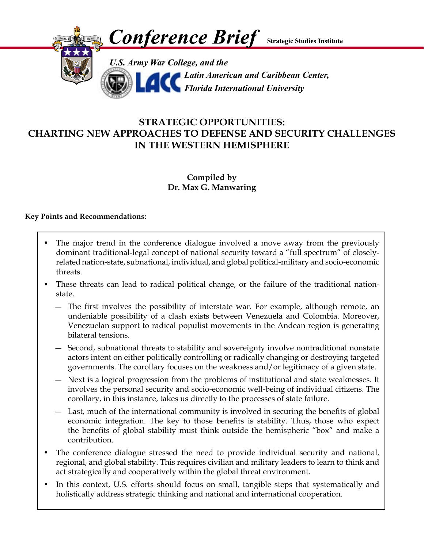

# **STRATEGIC OPPORTUNITIES: CHARTING NEW APPROACHES TO DEFENSE AND SECURITY CHALLENGES IN THE WESTERN HEMISPHERE**

# **Compiled by Dr. Max G. Manwaring**

#### **Key Points and Recommendations:**

- The major trend in the conference dialogue involved a move away from the previously dominant traditional-legal concept of national security toward a "full spectrum" of closelyrelated nation-state, subnational, individual, and global political-military and socio-economic threats.
- These threats can lead to radical political change, or the failure of the traditional nationstate.
	- ― The first involves the possibility of interstate war. For example, although remote, an undeniable possibility of a clash exists between Venezuela and Colombia. Moreover, Venezuelan support to radical populist movements in the Andean region is generating bilateral tensions.
	- ― Second, subnational threats to stability and sovereignty involve nontraditional nonstate actors intent on either politically controlling or radically changing or destroying targeted governments. The corollary focuses on the weakness and/or legitimacy of a given state.
	- ― Next is a logical progression from the problems of institutional and state weaknesses. It involves the personal security and socio-economic well-being of individual citizens. The corollary, in this instance, takes us directly to the processes of state failure.
	- ― Last, much of the international community is involved in securing the benefits of global economic integration. The key to those benefits is stability. Thus, those who expect the benefits of global stability must think outside the hemispheric "box" and make a contribution.
- The conference dialogue stressed the need to provide individual security and national, regional, and global stability. This requires civilian and military leaders to learn to think and act strategically and cooperatively within the global threat environment.
- In this context, U.S. efforts should focus on small, tangible steps that systematically and holistically address strategic thinking and national and international cooperation.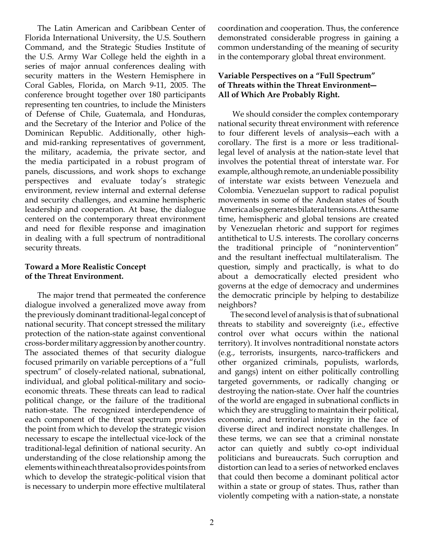The Latin American and Caribbean Center of Florida International University, the U.S. Southern Command, and the Strategic Studies Institute of the U.S. Army War College held the eighth in a series of major annual conferences dealing with security matters in the Western Hemisphere in Coral Gables, Florida, on March 9-11, 2005. The conference brought together over 180 participants representing ten countries, to include the Ministers of Defense of Chile, Guatemala, and Honduras, and the Secretary of the Interior and Police of the Dominican Republic. Additionally, other highand mid-ranking representatives of government, the military, academia, the private sector, and the media participated in a robust program of panels, discussions, and work shops to exchange perspectives and evaluate today's strategic environment, review internal and external defense and security challenges, and examine hemispheric leadership and cooperation. At base, the dialogue centered on the contemporary threat environment and need for flexible response and imagination in dealing with a full spectrum of nontraditional security threats.

### **Toward a More Realistic Concept of the Threat Environment.**

 The major trend that permeated the conference dialogue involved a generalized move away from the previously dominant traditional-legal concept of national security. That concept stressed the military protection of the nation-state against conventional cross-border military aggression by another country. The associated themes of that security dialogue focused primarily on variable perceptions of a "full spectrum" of closely-related national, subnational, individual, and global political-military and socioeconomic threats. These threats can lead to radical political change, or the failure of the traditional nation-state. The recognized interdependence of each component of the threat spectrum provides the point from which to develop the strategic vision necessary to escape the intellectual vice-lock of the traditional-legal definition of national security. An understanding of the close relationship among the elements within each threat also provides points from which to develop the strategic-political vision that is necessary to underpin more effective multilateral

coordination and cooperation. Thus, the conference demonstrated considerable progress in gaining a common understanding of the meaning of security in the contemporary global threat environment.

### **Variable Perspectives on a "Full Spectrum" of Threats within the Threat Environment― All of Which Are Probably Right.**

 We should consider the complex contemporary national security threat environment with reference to four different levels of analysis―each with a corollary. The first is a more or less traditionallegal level of analysis at the nation-state level that involves the potential threat of interstate war. For example, although remote, an undeniable possibility of interstate war exists between Venezuela and Colombia. Venezuelan support to radical populist movements in some of the Andean states of South America also generates bilateral tensions. At the same time, hemispheric and global tensions are created by Venezuelan rhetoric and support for regimes antithetical to U.S. interests. The corollary concerns the traditional principle of "nonintervention" and the resultant ineffectual multilateralism. The question, simply and practically, is what to do about a democratically elected president who governs at the edge of democracy and undermines the democratic principle by helping to destabilize neighbors?

 The second level of analysis is that of subnational threats to stability and sovereignty (i.e., effective control over what occurs within the national territory). It involves nontraditional nonstate actors (e.g., terrorists, insurgents, narco-traffickers and other organized criminals, populists, warlords, and gangs) intent on either politically controlling targeted governments, or radically changing or destroying the nation-state. Over half the countries of the world are engaged in subnational conflicts in which they are struggling to maintain their political, economic, and territorial integrity in the face of diverse direct and indirect nonstate challenges. In these terms, we can see that a criminal nonstate actor can quietly and subtly co-opt individual politicians and bureaucrats. Such corruption and distortion can lead to a series of networked enclaves that could then become a dominant political actor within a state or group of states. Thus, rather than violently competing with a nation-state, a nonstate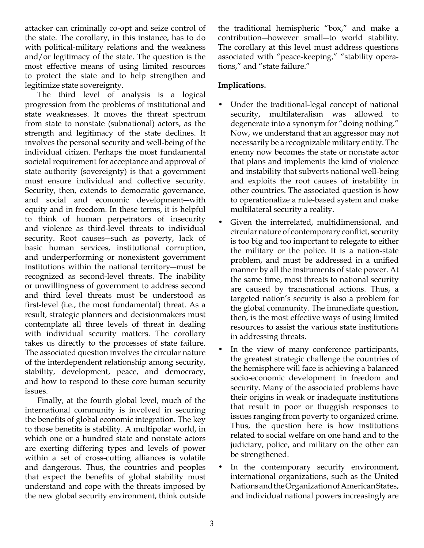attacker can criminally co-opt and seize control of the state. The corollary, in this instance, has to do with political-military relations and the weakness and/or legitimacy of the state. The question is the most effective means of using limited resources to protect the state and to help strengthen and legitimize state sovereignty.

 The third level of analysis is a logical progression from the problems of institutional and state weaknesses. It moves the threat spectrum from state to nonstate (subnational) actors, as the strength and legitimacy of the state declines. It involves the personal security and well-being of the individual citizen. Perhaps the most fundamental societal requirement for acceptance and approval of state authority (sovereignty) is that a government must ensure individual and collective security. Security, then, extends to democratic governance, and social and economic development―with equity and in freedom. In these terms, it is helpful to think of human perpetrators of insecurity and violence as third-level threats to individual security. Root causes―such as poverty, lack of basic human services, institutional corruption, and underperforming or nonexistent government institutions within the national territory―must be recognized as second-level threats. The inability or unwillingness of government to address second and third level threats must be understood as first-level (i.e., the most fundamental) threat. As a result, strategic planners and decisionmakers must contemplate all three levels of threat in dealing with individual security matters. The corollary takes us directly to the processes of state failure. The associated question involves the circular nature of the interdependent relationship among security, stability, development, peace, and democracy, and how to respond to these core human security issues.

 Finally, at the fourth global level, much of the international community is involved in securing the benefits of global economic integration. The key to those benefits is stability. A multipolar world, in which one or a hundred state and nonstate actors are exerting differing types and levels of power within a set of cross-cutting alliances is volatile and dangerous. Thus, the countries and peoples that expect the benefits of global stability must understand and cope with the threats imposed by the new global security environment, think outside the traditional hemispheric "box," and make a contribution―however small―to world stability. The corollary at this level must address questions associated with "peace-keeping," "stability operations," and "state failure."

## **Implications.**

- Under the traditional-legal concept of national security, multilateralism was allowed to degenerate into a synonym for "doing nothing." Now, we understand that an aggressor may not necessarily be a recognizable military entity. The enemy now becomes the state or nonstate actor that plans and implements the kind of violence and instability that subverts national well-being and exploits the root causes of instability in other countries. The associated question is how to operationalize a rule-based system and make multilateral security a reality.
- Given the interrelated, multidimensional, and circular nature of contemporary conflict, security is too big and too important to relegate to either the military or the police. It is a nation-state problem, and must be addressed in a unified manner by all the instruments of state power. At the same time, most threats to national security are caused by transnational actions. Thus, a targeted nation's security is also a problem for the global community. The immediate question, then, is the most effective ways of using limited resources to assist the various state institutions in addressing threats.
- In the view of many conference participants, the greatest strategic challenge the countries of the hemisphere will face is achieving a balanced socio-economic development in freedom and security. Many of the associated problems have their origins in weak or inadequate institutions that result in poor or thuggish responses to issues ranging from poverty to organized crime. Thus, the question here is how institutions related to social welfare on one hand and to the judiciary, police, and military on the other can be strengthened.
- In the contemporary security environment, international organizations, such as the United Nations and the Organization of American States, and individual national powers increasingly are